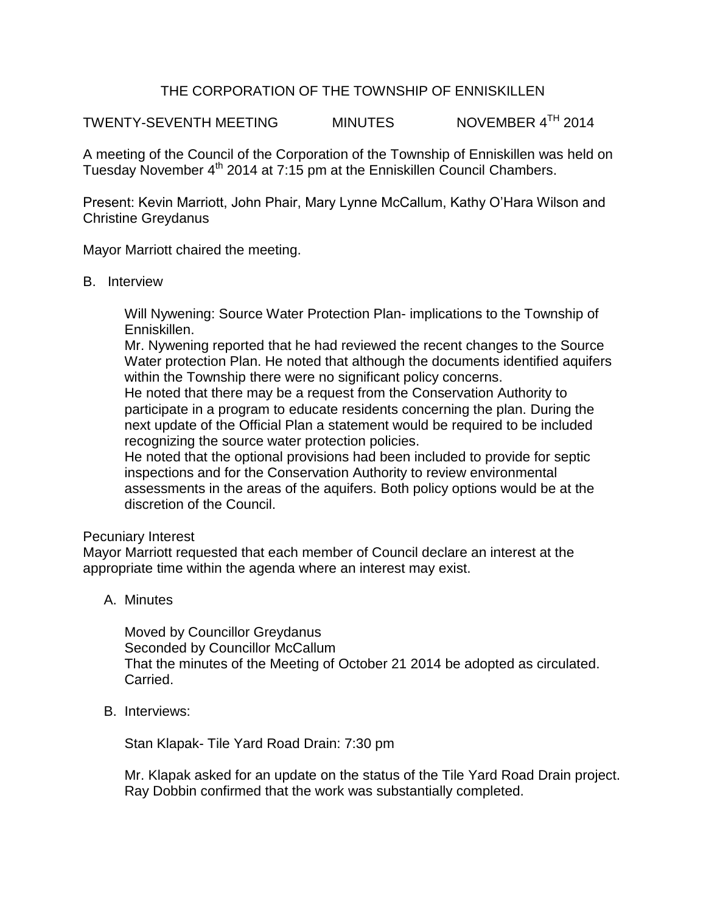## THE CORPORATION OF THE TOWNSHIP OF ENNISKILLEN

TWENTY-SEVENTH MEETING MINUTES NOVEMBER 4<sup>TH</sup> 2014

A meeting of the Council of the Corporation of the Township of Enniskillen was held on Tuesday November 4<sup>th</sup> 2014 at 7:15 pm at the Enniskillen Council Chambers.

Present: Kevin Marriott, John Phair, Mary Lynne McCallum, Kathy O'Hara Wilson and Christine Greydanus

Mayor Marriott chaired the meeting.

## B. Interview

Will Nywening: Source Water Protection Plan- implications to the Township of Enniskillen.

Mr. Nywening reported that he had reviewed the recent changes to the Source Water protection Plan. He noted that although the documents identified aquifers within the Township there were no significant policy concerns.

He noted that there may be a request from the Conservation Authority to participate in a program to educate residents concerning the plan. During the next update of the Official Plan a statement would be required to be included recognizing the source water protection policies.

He noted that the optional provisions had been included to provide for septic inspections and for the Conservation Authority to review environmental assessments in the areas of the aquifers. Both policy options would be at the discretion of the Council.

## Pecuniary Interest

Mayor Marriott requested that each member of Council declare an interest at the appropriate time within the agenda where an interest may exist.

A. Minutes

Moved by Councillor Greydanus Seconded by Councillor McCallum That the minutes of the Meeting of October 21 2014 be adopted as circulated. Carried.

B. Interviews:

Stan Klapak- Tile Yard Road Drain: 7:30 pm

Mr. Klapak asked for an update on the status of the Tile Yard Road Drain project. Ray Dobbin confirmed that the work was substantially completed.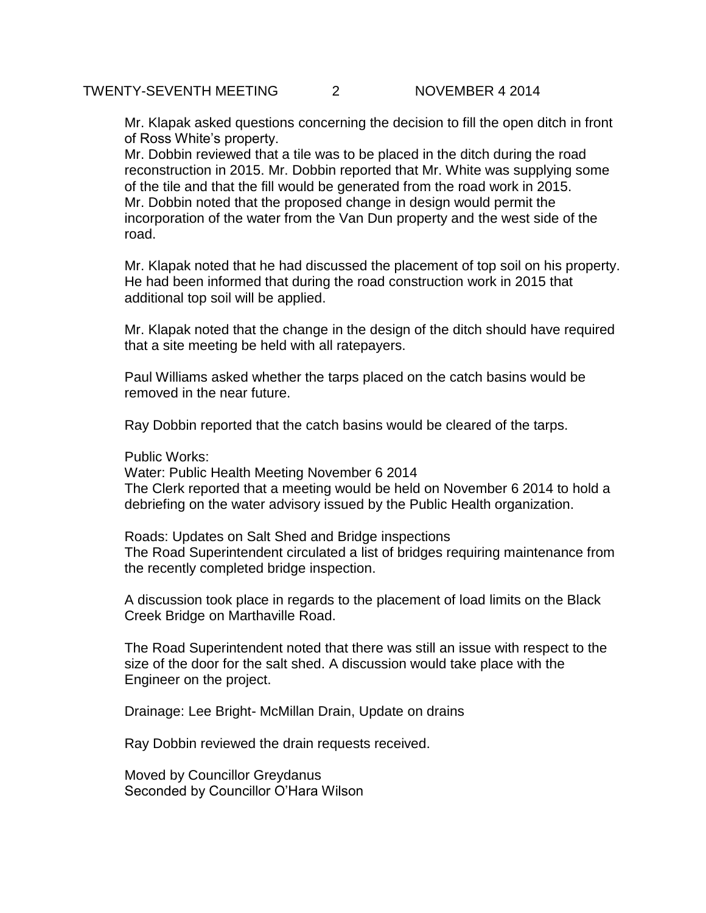Mr. Klapak asked questions concerning the decision to fill the open ditch in front of Ross White's property.

Mr. Dobbin reviewed that a tile was to be placed in the ditch during the road reconstruction in 2015. Mr. Dobbin reported that Mr. White was supplying some of the tile and that the fill would be generated from the road work in 2015. Mr. Dobbin noted that the proposed change in design would permit the incorporation of the water from the Van Dun property and the west side of the road.

Mr. Klapak noted that he had discussed the placement of top soil on his property. He had been informed that during the road construction work in 2015 that additional top soil will be applied.

Mr. Klapak noted that the change in the design of the ditch should have required that a site meeting be held with all ratepayers.

Paul Williams asked whether the tarps placed on the catch basins would be removed in the near future.

Ray Dobbin reported that the catch basins would be cleared of the tarps.

Public Works:

Water: Public Health Meeting November 6 2014 The Clerk reported that a meeting would be held on November 6 2014 to hold a debriefing on the water advisory issued by the Public Health organization.

Roads: Updates on Salt Shed and Bridge inspections The Road Superintendent circulated a list of bridges requiring maintenance from the recently completed bridge inspection.

A discussion took place in regards to the placement of load limits on the Black Creek Bridge on Marthaville Road.

The Road Superintendent noted that there was still an issue with respect to the size of the door for the salt shed. A discussion would take place with the Engineer on the project.

Drainage: Lee Bright- McMillan Drain, Update on drains

Ray Dobbin reviewed the drain requests received.

Moved by Councillor Greydanus Seconded by Councillor O'Hara Wilson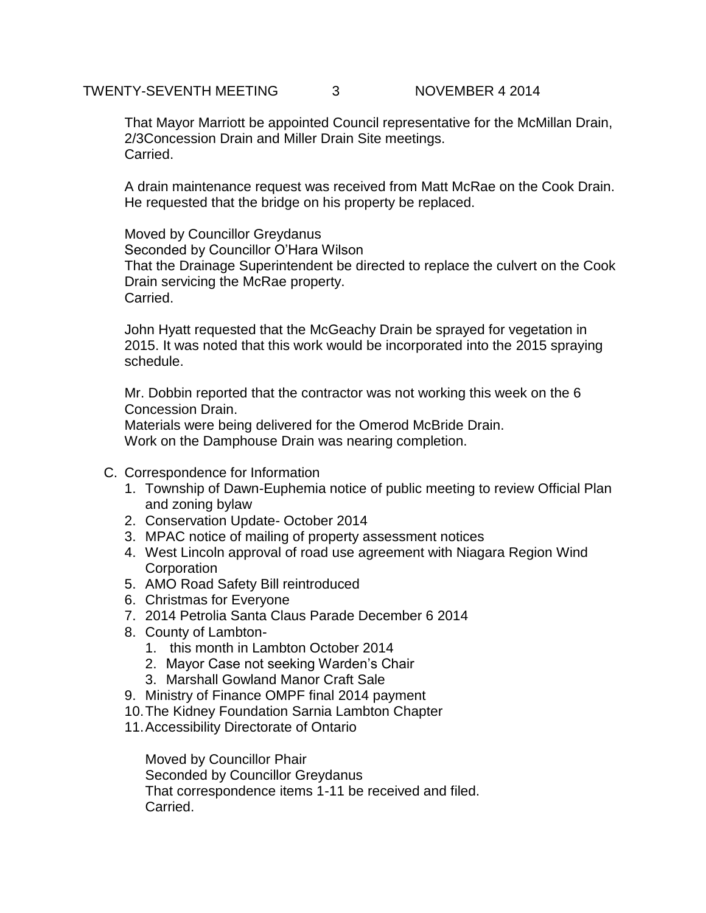That Mayor Marriott be appointed Council representative for the McMillan Drain, 2/3Concession Drain and Miller Drain Site meetings. Carried.

A drain maintenance request was received from Matt McRae on the Cook Drain. He requested that the bridge on his property be replaced.

Moved by Councillor Greydanus Seconded by Councillor O'Hara Wilson That the Drainage Superintendent be directed to replace the culvert on the Cook Drain servicing the McRae property. Carried.

John Hyatt requested that the McGeachy Drain be sprayed for vegetation in 2015. It was noted that this work would be incorporated into the 2015 spraying schedule.

Mr. Dobbin reported that the contractor was not working this week on the 6 Concession Drain.

Materials were being delivered for the Omerod McBride Drain. Work on the Damphouse Drain was nearing completion.

- C. Correspondence for Information
	- 1. Township of Dawn-Euphemia notice of public meeting to review Official Plan and zoning bylaw
	- 2. Conservation Update- October 2014
	- 3. MPAC notice of mailing of property assessment notices
	- 4. West Lincoln approval of road use agreement with Niagara Region Wind **Corporation**
	- 5. AMO Road Safety Bill reintroduced
	- 6. Christmas for Everyone
	- 7. 2014 Petrolia Santa Claus Parade December 6 2014
	- 8. County of Lambton-
		- 1. this month in Lambton October 2014
		- 2. Mayor Case not seeking Warden's Chair
		- 3. Marshall Gowland Manor Craft Sale
	- 9. Ministry of Finance OMPF final 2014 payment
	- 10.The Kidney Foundation Sarnia Lambton Chapter
	- 11.Accessibility Directorate of Ontario

Moved by Councillor Phair Seconded by Councillor Greydanus That correspondence items 1-11 be received and filed. Carried.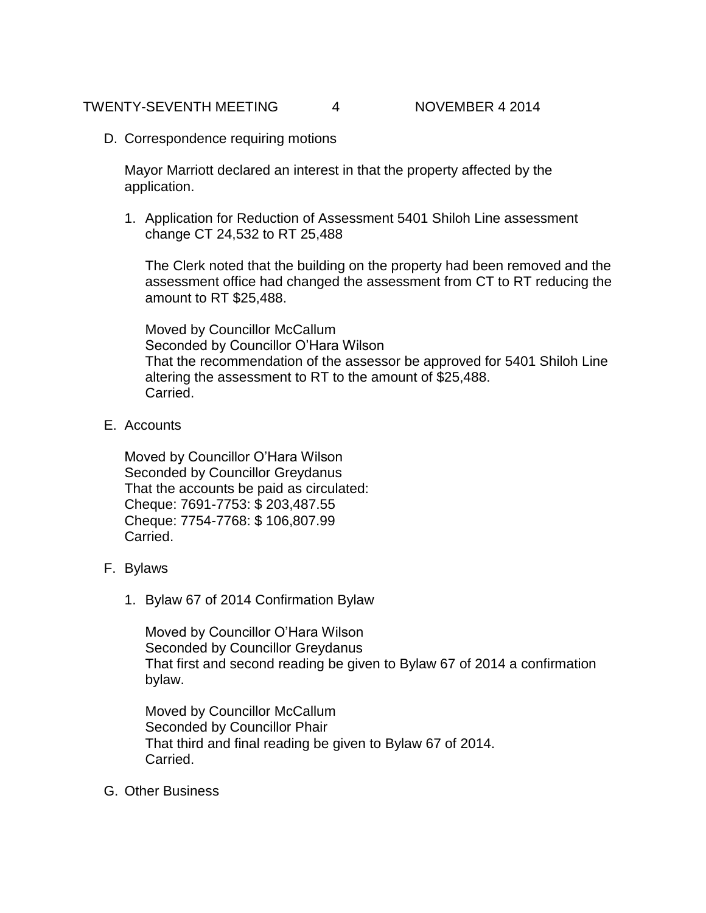D. Correspondence requiring motions

Mayor Marriott declared an interest in that the property affected by the application.

1. Application for Reduction of Assessment 5401 Shiloh Line assessment change CT 24,532 to RT 25,488

The Clerk noted that the building on the property had been removed and the assessment office had changed the assessment from CT to RT reducing the amount to RT \$25,488.

Moved by Councillor McCallum Seconded by Councillor O'Hara Wilson That the recommendation of the assessor be approved for 5401 Shiloh Line altering the assessment to RT to the amount of \$25,488. Carried.

E. Accounts

Moved by Councillor O'Hara Wilson Seconded by Councillor Greydanus That the accounts be paid as circulated: Cheque: 7691-7753: \$ 203,487.55 Cheque: 7754-7768: \$ 106,807.99 **Carried** 

- F. Bylaws
	- 1. Bylaw 67 of 2014 Confirmation Bylaw

Moved by Councillor O'Hara Wilson Seconded by Councillor Greydanus That first and second reading be given to Bylaw 67 of 2014 a confirmation bylaw.

Moved by Councillor McCallum Seconded by Councillor Phair That third and final reading be given to Bylaw 67 of 2014. Carried.

G. Other Business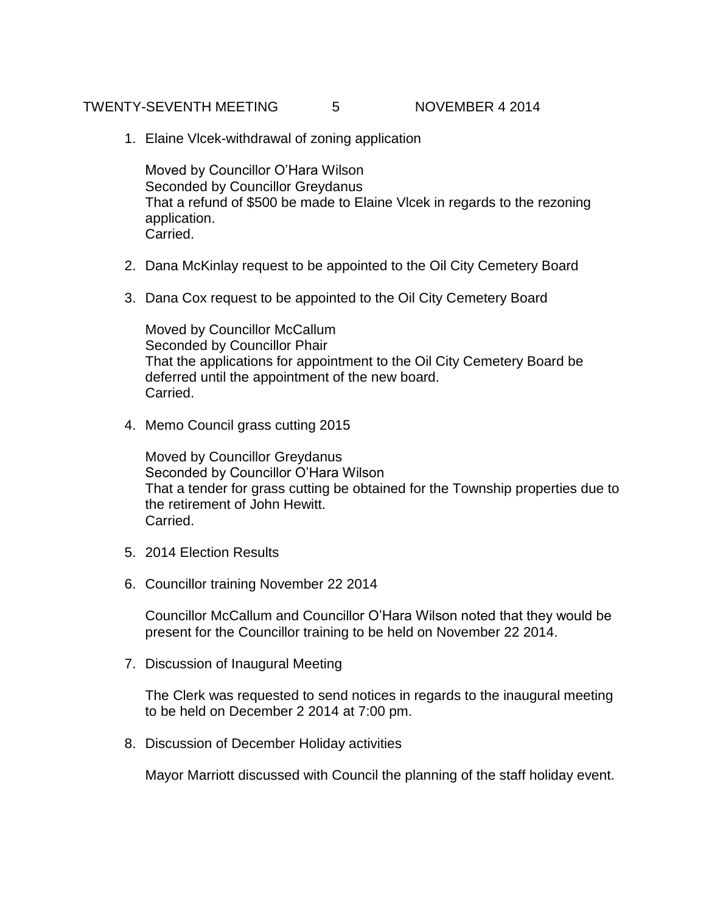## TWENTY-SEVENTH MEETING 5 NOVEMBER 4 2014

1. Elaine Vlcek-withdrawal of zoning application

Moved by Councillor O'Hara Wilson Seconded by Councillor Greydanus That a refund of \$500 be made to Elaine Vlcek in regards to the rezoning application. Carried.

- 2. Dana McKinlay request to be appointed to the Oil City Cemetery Board
- 3. Dana Cox request to be appointed to the Oil City Cemetery Board

Moved by Councillor McCallum Seconded by Councillor Phair That the applications for appointment to the Oil City Cemetery Board be deferred until the appointment of the new board. Carried.

4. Memo Council grass cutting 2015

Moved by Councillor Greydanus Seconded by Councillor O'Hara Wilson That a tender for grass cutting be obtained for the Township properties due to the retirement of John Hewitt. Carried.

- 5. 2014 Election Results
- 6. Councillor training November 22 2014

Councillor McCallum and Councillor O'Hara Wilson noted that they would be present for the Councillor training to be held on November 22 2014.

7. Discussion of Inaugural Meeting

The Clerk was requested to send notices in regards to the inaugural meeting to be held on December 2 2014 at 7:00 pm.

8. Discussion of December Holiday activities

Mayor Marriott discussed with Council the planning of the staff holiday event.